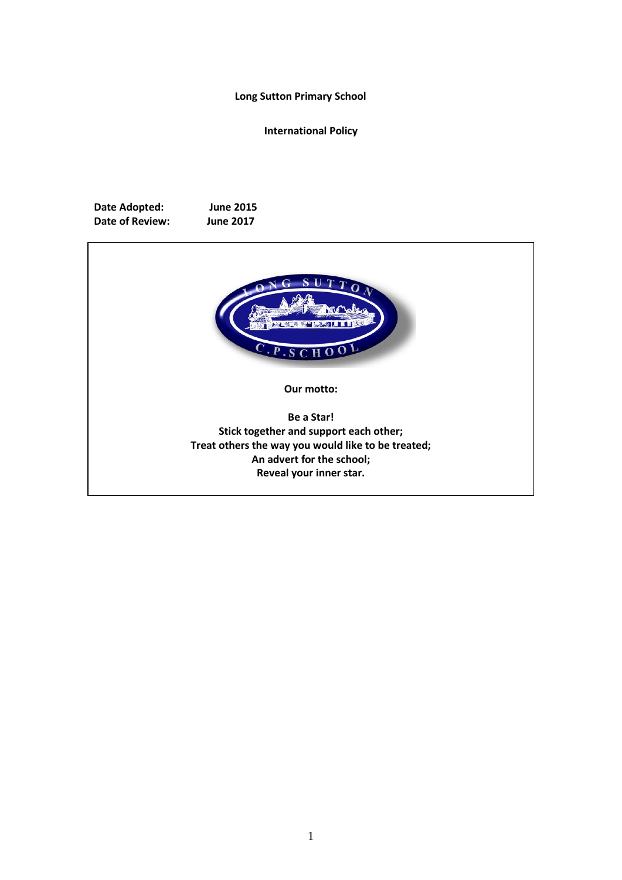#### **Long Sutton Primary School**

**International Policy** 

**Date Adopted: June 2015 Date of Review: June 2017**



**Our motto:**

**Be a Star! Stick together and support each other; Treat others the way you would like to be treated; An advert for the school; Reveal your inner star.**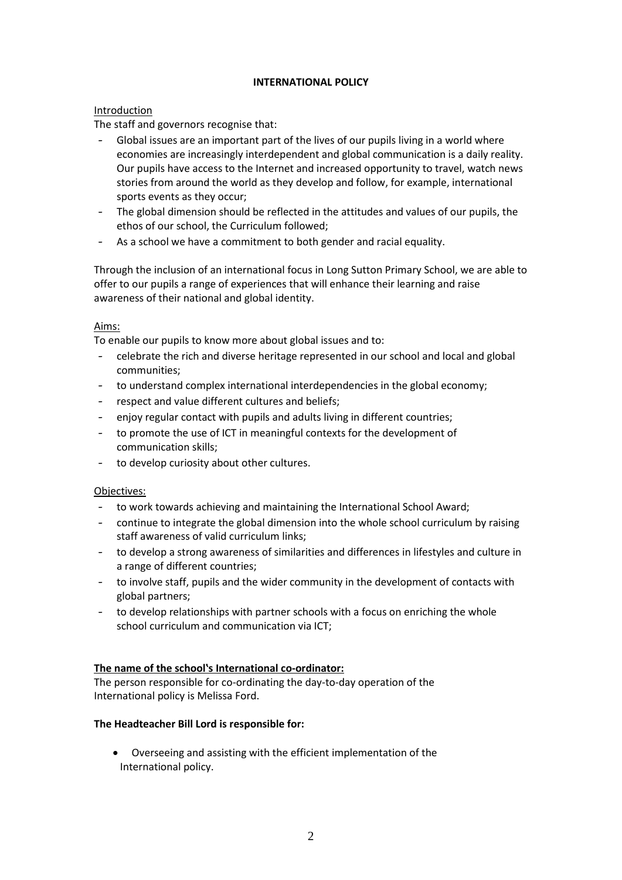## **INTERNATIONAL POLICY**

## Introduction

The staff and governors recognise that:

- Global issues are an important part of the lives of our pupils living in a world where economies are increasingly interdependent and global communication is a daily reality. Our pupils have access to the Internet and increased opportunity to travel, watch news stories from around the world as they develop and follow, for example, international sports events as they occur;
- The global dimension should be reflected in the attitudes and values of our pupils, the ethos of our school, the Curriculum followed;
- As a school we have a commitment to both gender and racial equality.

Through the inclusion of an international focus in Long Sutton Primary School, we are able to offer to our pupils a range of experiences that will enhance their learning and raise awareness of their national and global identity.

## Aims:

To enable our pupils to know more about global issues and to:

- celebrate the rich and diverse heritage represented in our school and local and global communities;
- to understand complex international interdependencies in the global economy;
- respect and value different cultures and beliefs;
- enjoy regular contact with pupils and adults living in different countries;
- to promote the use of ICT in meaningful contexts for the development of communication skills;
- to develop curiosity about other cultures.

### Objectives:

- to work towards achieving and maintaining the International School Award;
- continue to integrate the global dimension into the whole school curriculum by raising staff awareness of valid curriculum links;
- to develop a strong awareness of similarities and differences in lifestyles and culture in a range of different countries;
- to involve staff, pupils and the wider community in the development of contacts with global partners;
- to develop relationships with partner schools with a focus on enriching the whole school curriculum and communication via ICT;

# **The name of the school's International co-ordinator:**

The person responsible for co-ordinating the day-to-day operation of the International policy is Melissa Ford.

### **The Headteacher Bill Lord is responsible for:**

• Overseeing and assisting with the efficient implementation of the International policy.